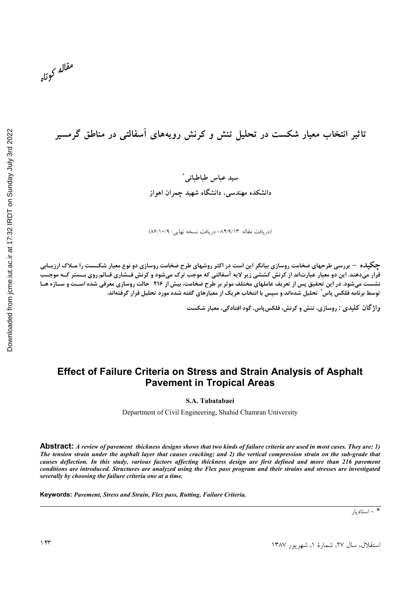مقاله كوتاه

تاثیر انتخاب معیار شکست در تحلیل تنش و کرنش رویههای اسفالتی در مناطق گرمسیر

سيد عباس طباطبائي<sup>\*</sup> دانشکده مهندسی، دانشگاه شهید چمران اهواز

(دريافت مقاله: ٨۴/٩/١٣- دريافت نسخه نهايي: ٨٦/١٠/٩)

**چگیلـه – بررسی طرحهای ضخامت روسازی بیانگر این است در اکثر روشهای طرح ضخامت روسازی دو نوع معیار شکــست را مــلاک ارزیــابی** قرار میدهند. این دو معیار عبارتاند از کرنش کششی زیر لایه آسفالتی که موجب ترک میشود و کرنش فــشاری قــائم روی بــستر کــه موجــب نشست میشود. در این تحقیق پس از تعریف عاملهای مختلف موثر بر طرح ضخامت، بیش از ۲۱۶٪ حالت روسازی معرفی شده اسـت و سـازه هـا توسط برنامه فلکس پاس<sup>۱</sup> تحلیل شدهاند و سپس با انتخاب هریک از معیارهای گفته شده مورد تحلیل قرار گرفتهاند.

**واژ گان کلیدی : روسازی، تنش و کرنش، فلکس پاس، گود افتادگی، معیار شکست** 

## **Effect of Failure Criteria on Stress and Strain Analysis of Asphalt Pavement in Tropical Areas**

**S.A. Tabatabaei**

Department of Civil Engineering, Shahid Chamran University

**Abstract:** *A review of pavement thickness designs shows that two kinds of failure criteria are used in most cases. They are: 1) The tension strain under the asphalt layer that causes cracking; and 2) the vertical compression strain on the sub-grade that causes deflection. In this study, various factors affecting thickness design are first defined and more than 216 pavement conditions are introduced. Structures are analyzed using the Flex pass program and their strains and stresses are investigated severally by choosing the failure criteria one at a time.*

**Keywords:** *Pavement, Stress and Strain, Flex pass, Rutting, Failure Criteria.* 

\* - استاديار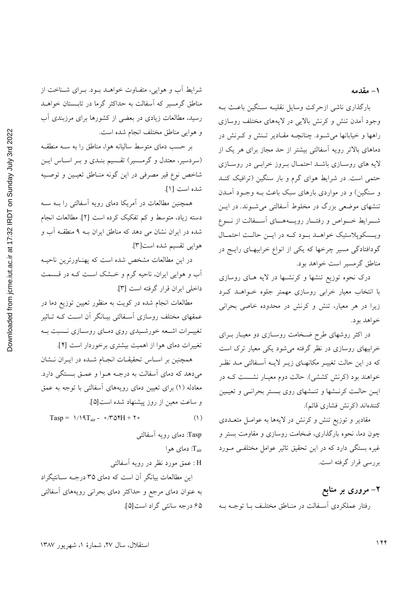١ – مقدمه

بارگذاری ناشی ازحرکت وسایل نقلیـه سـنگین باعـث بـه وجود آمدن تنش و کرنش بالایی در لایههای مختلف روسازی راهها و خیابانها می شود. چنانچـه مقـادیر تـنش و کـرنش در دماهای بالاتر رویه آسفالتی بیشتر از حد مجاز برای هر یک از .<br>لایه های روسـازی باشــد احتمـال بــروز خرابــی در روســازی حتمی است. در شرایط هوای گرم و بار سنگین (ترافیک کنـد و سنگین) و در مواردی بارهای سبک باعث بـه وجـود آمــدن تنشهای موضعی بزرگ در مخلوط آسفالتی می شـوند. در ایــن شـــرايط خــــواص و رفتـــار رويــــههـــاي آســـفالت از نـــوع ویـسکوپلاستیک خواهــد بــود کــه در ایــن حالــت احتمــال گودافتادگی مسیر چرخها که یکی از انواع خرابیهـای رایــج در مناطق گرمسیر است خواهد بود.

درک نحوه توزیع تنشها و کرنشـها در لایه هـای روسازی با انتخاب معیار خرابی روسازی مهمتر جلوه خـواهــد کــرد زیرا در هر معیار، تنش و کرنش در محدوده خاصی بحرانی خواهد بود.

در اکثر روشهای طرح ضخامت روسازی دو معیـار بـرای خرابیهای روسازی در نظر گرفته می شود یکی معیار ترک است که در این حالت تغییـر مکانهـای زیـر لایـه آسـفالتی مـد نظـر خواهند بود (کرنش کششی). حالت دوم معیـار نشــست کــه در ایــن حالــت کرنــشها و تنــشهای روی بــستر بحرانــی و تعیــین كنندهاند (كرنش فشارى قائم).

مقادیر و توزیع تنش و کرنش در لایهها به عوامـل متعــددی چون دما، نحوه بارگذاری، ضخامت روسازی و مقاومت بستر و غیرہ بستگی دارد که در این تحقیق تاثیر عوامل مختلفـی مـورد بررسی قرار گرفته است.

۲– مروری بر منابع رفتار عملكردي أسفالت در منـاطق مختلـف بـا توجـه بـه

شرايط آب و هوايي، متفـاوت خواهــد بــود. بــراي شــناخت از مناطق گرمسیر که اسفالت به حداکثر گرما در تابـستان خواهــد رسید، مطالعات زیادی در بعضی از کشورها برای مرزبندی آب و هوايي مناطق مختلف انجام شده است.

بر حسب دمای متوسط سالیانه هوا، مناطق را به سـه منطقـه (سردسیر، معتدل و گرمسیر) تقـسیم بنـدی و بـر اسـاس ایـن شاخص نوع قیر مصرفی در این گونه منـاطق تعیـین و توصـیه شده است [١].

همچنین مطالعات در آمریکا دمای رویه آسفالتی را بــه ســه دسته زیاد، متوسط و کم تفکیک کرده است [۲]. مطالعات انجام شده در ایران نشان می دهد که مناطق ایران بـه ۹ منطقـه آب و هوايي تقسيم شده است[٣].

در این مطالعات مشخص شده است که پهنـاورترین ناحیــه آب و هوايي ايران، ناحيه گرم و خــشک اسـت کــه در قــسمت داخلی ایران قرار گرفته است [۳].

مطالعات انجام شده در کویت به منظور تعیین توزیع دما در عمقهای مختلف روسازی آسـفالتی بیـانگر آن اسـت کـه تـاثیر تغییـرات اشـعه خورشـیدی روی دمـای روسـازی نـسبت بـه تغییرات دمای هوا از اهمیت بیشتری برخوردار است [۴].

همچنین بر اسـاس تحقیقـات انجـام شـده در ایـران نـشان میدهد که دمای اَسفالت به درجـه هــوا و عمــق بــستگی دارد. معادله (۱) برای تعیین دمای رویههای آسفالتی با توجه به عمق و ساعت معین از روز پیشنهاد شده است[۵].

Tasp =  $1/19T_{air}$  -  $\circ$  / \r  $\Delta$ YH + Y  $\circ$  $(1)$ 

> Tasp: دمای رویه آسفالتی دمای هوا: $\mathrm{T_{air}}$

> > H : عمق مورد نظر در رويه آسفالتي

این مطالعات بیانگر آن است که دمای ۳۵ درجـه سـانتیگراد به عنوان دمای مرجع و حداکثر دمای بحرانی رویههای آسفالتی ۶۵ درجه سانتی گراد است[۵].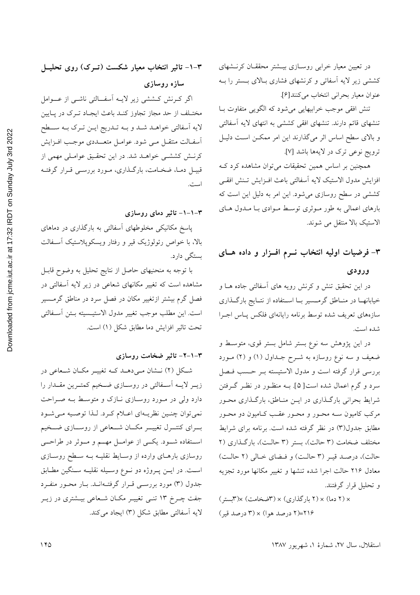تنش افقی موجب خرابیهایی می شود که الگویی متفاوت بـا تنشهای قائم دارند. تنشهای افقی کششی به انتهای لایه آسفالتی و بالای سطح اساس اثر میگذارند این امر ممکــن اســت دليــل ترويج نوعي ترك در لايهها باشد [٧].

همچنین بر اساس همین تحقیقات می توان مشاهده کرد ک افزايش مدول الاستيك لايه أسفالتي باعث افـزايش تـنش افقـى کششی در سطح روسازی می شود. این امر به دلیل این است که بارهای اعمالی به طور مـوثری توسـط مـوادی بـا مـدول هـای الاستيك بالا منتقل مي شوند.

۳- فرضیات اولیه انتخاب نـرم افـزار و داده هـای ورودى

در این تحقیق تنش و کرنش رویه های آسفالتی جاده هــا و خیابانهـا در منـاطق گرمــسیر بــا اســتفاده از نتــایج بارگــذاری سازههاي تعريف شده توسط برنامه رايانهاي فلكس پــاس اجــرا شده است.

در این پژوهش سه نوع بستر شامل بستر قوی، متوسط و ضعیف و سه نوع روسازه به شــرح جــداول (۱) و (۲) مــورد بررسی قرار گرفته است و مدول الاستیسته بـر حـسب فـصل سرد و گرم اعمال شده است[۵]. بــه منظــور در نظــر گــرفتن شرایط بحرانی بارگـذاری در ایــن منـاطق، بارگـذاری محـور مرکب کامیون سـه محـور و محـور عقـب کـامیون دو محـور مطابق جدول(٣) در نظر گرفته شده است. برنامه برای شرایط مختلف ضخامت (٣ حالت)، بستر (٣ حالت)، باركذاري (٢ حالت)، درصد قيـر (٣ حالـت) و فـضاي خـالى (٢ حالـت) معادل ۲۱۶ حالت اجرا شده تنشها و تغییر مکانها مورد تجزیه و تحليل قرار گرفتند.

× (٢ دما) × (٢ بارگذاری) × (٣ضخامت) ×(٣بستر) ۲۱۶=(۲ درصد هوا) × (۳ درصد قیر)

۰–۲– تاثیر انتخاب معیار شکست (تــرک) روی تحلیــل سازه روسازی اگر کرنش کششی زیر لایـه آسفـالتی ناشـی از عــوامل مختـلف از حد مجاز تجاوز كنـد باعث ايجـاد تـرک در پـايين لايه اَسفالتي خواهـد شـد و بـه تـدريج ايـن تـرک بـه ســطح أسفـالت منتقـل مـى شود. عوامـل متعـــددى موجـب افــزايش

کرنـش کششـی خواهـد شد. در این تحقـیق عوامـلی مهمی از قبیـل دمـا، ضخـامت، بارگـذاری، مـورد بررسـی قـرار گرفتـه است.

#### ۳–۱–۱– تاثیر دمای روسازی

پاسخ مکانیکی مخلوطهای آسفالتی به بارگذاری در دماهای بالا، با خواص رئولوژیک قیر و رفتار ویسکوپلاستیک آسـفالت بستگی دارد.

با توجه به منحنیهای حاصل از نتایج تحلیل به وضوح قابـل مشاهده است که تغییر مکانهای شعاعی در زیر لایه آسفالتی در فصل گرم بیشتر ازتغییر مکان در فصل سرد در مناطق گرمــسیر است. اين مطلب موجب تغيير مدول الاستيـسيته بـتن أسـفالتي تحت تاثير افزايش دما مطابق شكل (١) است.

### ۳–۱–۲– تاثیر ضخامت روسازی

شکل (۲) نـشان مـیدهـد کـه تغییـر مکـان شـعاعی در زیــر لایــه اَســفالتی در روســازی ضــخیم کمتــرین مقــدار را دارد ولی در مورد روسازی نـازک و متوسـط بـه صـراحت نمي توان چنين نظريـهاي اعـلام كـرد. لـذا توصـيه مـي شـود بسرای کنتسرل تغییسر مکسان شسعاعی از روسسازی ضسخیم اســتفاده شـــود. يكـــي از عوامـــل مهـــم و مـــوثر در طراحـــي روسازی بارهـای وارده از وسـایط نقلیـه بــه سـطح روسـازی است. در ايـن پـروژه دو نـوع وسـيله نقليــه سـنگين مطـابق جدول (۳) مورد بررسـی قـرار گرفتـهانـد. بـار محـور منفـرد جفت چـرخ ۱۳ تنـی تغییـر مکـان شـعاعی بیـشتری در زیـر لايه أسفالتي مطابق شكل (٣) ايجاد مي كند.

استقلال، سال ٢٧، شمارهٔ ١، شهریور ١٣٨٧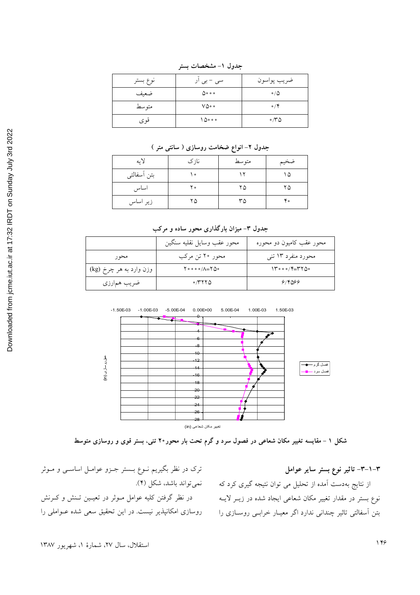| نوع بستر | سی – بی ار                  | ضريب پواسون              |
|----------|-----------------------------|--------------------------|
| ضعيف     | $\Delta$ $\circ$ $\circ$    | $\circ$ / $\circ$        |
| متوسط    | $V\Delta \circ \circ$       | $\circ$ / $\circ$        |
| قو ي     | $\bigwedge$ $\circ$ $\circ$ | $\circ$ / $\sim$ $\circ$ |

جدول ١- مشخصات بستر

جدول ۲– انواع ضخامت روسازی ( سانتی متر )

| لايه        | نازک | متوسط | ضخيم |
|-------------|------|-------|------|
| بتن أسفالتي | ه ۱  |       | ۱۵   |
| اساس        | ه ۲  | ۲۵    | ۲۵   |
| زیر اساس    | ۲۵   | ۳۵    | ۴۰   |

جدول ۳- میزان بارگذاری محور ساده و مرکب

|                         | محور عقب وسايل نقليه سنگين                                           | محور عقب کامیون دو محوره |
|-------------------------|----------------------------------------------------------------------|--------------------------|
| محو ر                   | محور ۲۰ تن مرکب                                                      | محورد منفرد ۱۳ تنبي      |
| وزن وارد به هر چرخ (kg) | $\uparrow \circ \circ \circ \circ / \land = \uparrow \Diamond \circ$ | $14000/F = YY00$         |
| ضریب همارزی             | $\circ$ /۳۲۲۵                                                        | 918099                   |



شکل ۱ – مقایسه تغییر مکان شعاعی در فصول سرد و گرم تحت بار محور۲۰ تنی، بستر قوی و روسازی متوسط

ترک در نظر بگیریم نــوع بــــستر جــزو عوامــل اساســی و مــوثر .<br>نوع بستر در مقدار تغییر مکان شعاعی ایجاد شده در زیــر لایــه در نظر گرفتن کلیه عوامل مــوثر در تعیــین تــنش و کــرنش بتن آسفالتی تاثیر چندانی ندارد اگر معیـار خرابـی روسـازی را روسازی امکانپذیر نیست. در این تحقیق سعی شده عــواملی را

۳–۱–۳– تاثیر نوع بستر سایر عوامل از نتایج بهدست آمده از تحلیل می توان نتیجه گیری کرد که  $\qquad \qquad$  نمی $\qquad$ تواند باشد، شکل (۴).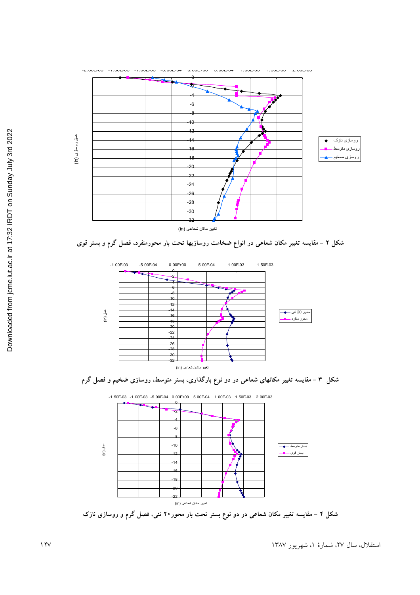





شکل ۴ – مقایسه تغییر مکان شعاعی در دو نوع بستر تحت بار محور۲۰ تنی، فصل گرم و روسازی نازک

استقلال، سال ۲۷، شمارهٔ ۱، شهریور ۱۳۸۷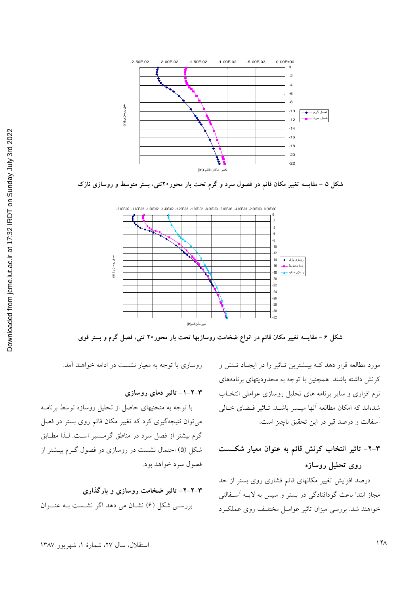

شکل ۵ – مقایسه تغییر مکان قائم در فصول سرد و گرم تحت بار محور۲۰تنی، بستر متوسط و روسازی نازک



شکل ۶ – مقایسه تغییر مکان قائم در انواع ضخامت روسازیها تحت بار محور۲۰ تنی، فصل گرم و بستر قوی

مورد مطالعه قرار دهد کـه بیـشترین تـاثیر را در ایجـاد تـنش و کرنش داشته باشند. همچنین با توجه به محدودیتهای برنامههای نرم افزاری و سایر برنامه های تحلیل روسازی عواملی انتخـاب شدهاند که امکان مطالعه آنها میــسر باشــد. تــاثیر فــضای خــالی آسفالت و درصد قیر در این تحقیق ناچیز است.

# ۴–۲– تاثیر انتخاب کرنش قائم به عنوان معیار شکــست روی تحلیل روسازه

درصد افزایش تغییر مکانهای قائم فشاری روی بستر از حد مجاز ابتدا باعث گودافتادگی در بستر و سپس به لایـه آسـفالتی خواهند شد. بررسی میزان تاثیر عوامـل مختلـف روی عملکـرد

روسازی با توجه به معیار نشست در ادامه خواهند آمد.

#### ۳–۲–۱– تاثیر دمای روسازی

با توجه به منحنیهای حاصل از تحلیل روسازه توسط برنامـه می توان نتیجهگیری کرد که تغییر مکان قائم روی بستر در فصل گرم بیشتر از فصل سرد در مناطق گرمسیر است. لـذا مطـابق شکل (۵) احتمال نشست در روسازی در فصول گـرم بیـشتر از فصول سرد خواهد بود.

۳–۲–۲– تاثیر ضخامت روسازی و بارگذاری بررسے شکل (۶) نشان می دہد اگر نشست بـه عنــوان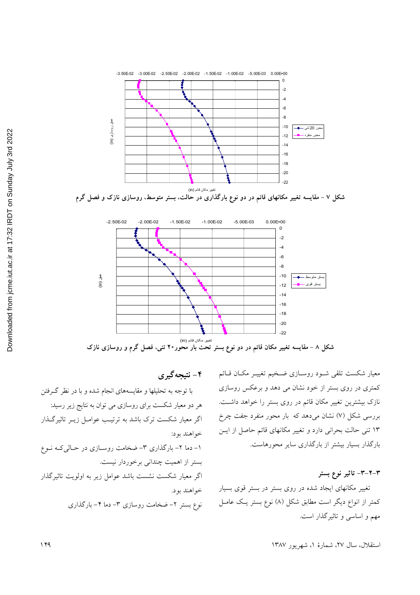



۴ - نتیجه گیری

معيار شكست تلقى شــود روســازى ضــخيم تغييــر مكــان قــائم کمتری در روی بستر از خود نشان می دهد و برعکس روسازی نازک بیشترین تغییر مکان قائم در روی بستر را خواهد داشــت. بررسی شکل (۷) نشان میدهد که بار محور منفرد جفت چرخ ۱۳ تنی حالت بحرانی دارد و تغییر مکانهای قائم حاصل از ایــن بارگذار بسیار بیشتر از بارگذاری سایر محورهاست.

۳–۲–۳– تاثیر نوع بستر

تغییر مکانهای ایجاد شده در روی بستر در بستر قوی بسیار کمتر از انواع دیگر است مطابق شکل (۸) نوع بستر یک عامـل مهم و اساسی و تاثیر گذار است.

استقلال، سال ٢٧، شمارهٔ ١، شهریور ١٣٨٧